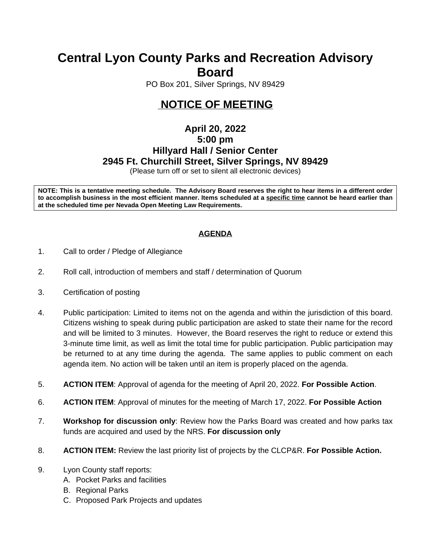# **Central Lyon County Parks and Recreation Advisory Board**

PO Box 201, Silver Springs, NV 89429

## **NOTICE OF MEETING**

## **April 20, 2022 5:00 pm Hillyard Hall / Senior Center 2945 Ft. Churchill Street, Silver Springs, NV 89429**

(Please turn off or set to silent all electronic devices)

NOTE: This is a tentative meeting schedule. The Advisory Board reserves the right to hear items in a different order to accomplish business in the most efficient manner. Items scheduled at a specific time cannot be heard earlier than **at the scheduled time per Nevada Open Meeting Law Requirements.** 

## **AGENDA**

- 1. Call to order / Pledge of Allegiance
- 2. Roll call, introduction of members and staff / determination of Quorum
- 3. Certification of posting
- 4. Public participation: Limited to items not on the agenda and within the jurisdiction of this board. Citizens wishing to speak during public participation are asked to state their name for the record and will be limited to 3 minutes. However, the Board reserves the right to reduce or extend this 3-minute time limit, as well as limit the total time for public participation. Public participation may be returned to at any time during the agenda. The same applies to public comment on each agenda item. No action will be taken until an item is properly placed on the agenda.
- 5. **ACTION ITEM**: Approval of agenda for the meeting of April 20, 2022. **For Possible Action**.
- 6. **ACTION ITEM**: Approval of minutes for the meeting of March 17, 2022. **For Possible Action**
- 7. **Workshop for discussion only**: Review how the Parks Board was created and how parks tax funds are acquired and used by the NRS. **For discussion only**
- 8. **ACTION ITEM:** Review the last priority list of projects by the CLCP&R. **For Possible Action.**
- 9. Lyon County staff reports:
	- A. Pocket Parks and facilities
	- B. Regional Parks
	- C. Proposed Park Projects and updates